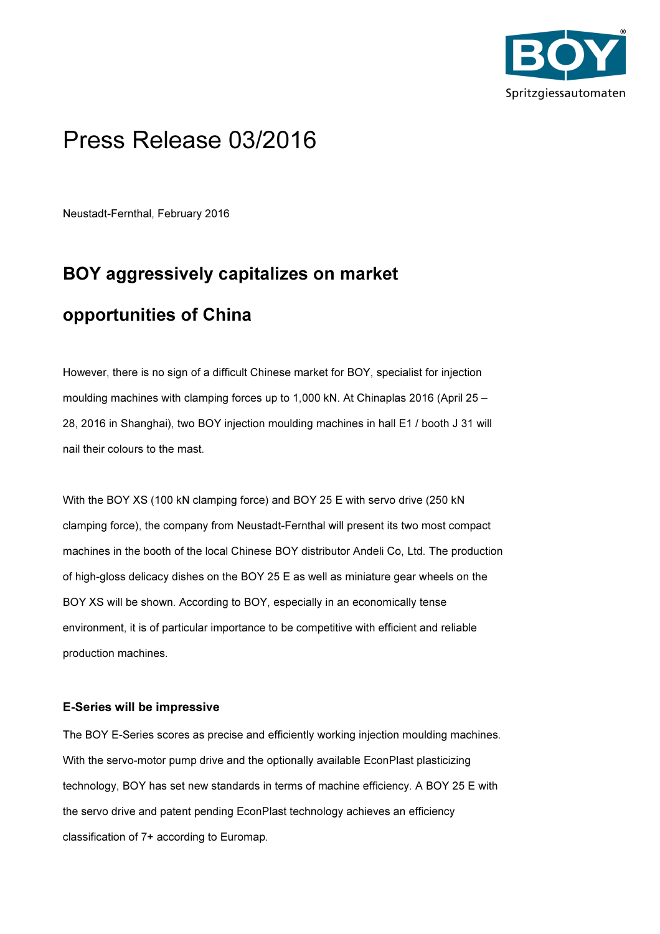

## Press Release 03/2016

Neustadt-Fernthal, February 2016

## BOY aggressively capitalizes on market opportunities of China

However, there is no sign of a difficult Chinese market for BOY, specialist for injection moulding machines with clamping forces up to 1,000 kN. At Chinaplas 2016 (April 25 – 28, 2016 in Shanghai), two BOY injection moulding machines in hall E1 / booth J 31 will nail their colours to the mast.

With the BOY XS (100 kN clamping force) and BOY 25 E with servo drive (250 kN clamping force), the company from Neustadt-Fernthal will present its two most compact machines in the booth of the local Chinese BOY distributor Andeli Co, Ltd. The production of high-gloss delicacy dishes on the BOY 25 E as well as miniature gear wheels on the BOY XS will be shown. According to BOY, especially in an economically tense environment, it is of particular importance to be competitive with efficient and reliable production machines.

## E-Series will be impressive

The BOY E-Series scores as precise and efficiently working injection moulding machines. With the servo-motor pump drive and the optionally available EconPlast plasticizing technology, BOY has set new standards in terms of machine efficiency. A BOY 25 E with the servo drive and patent pending EconPlast technology achieves an efficiency classification of 7+ according to Euromap.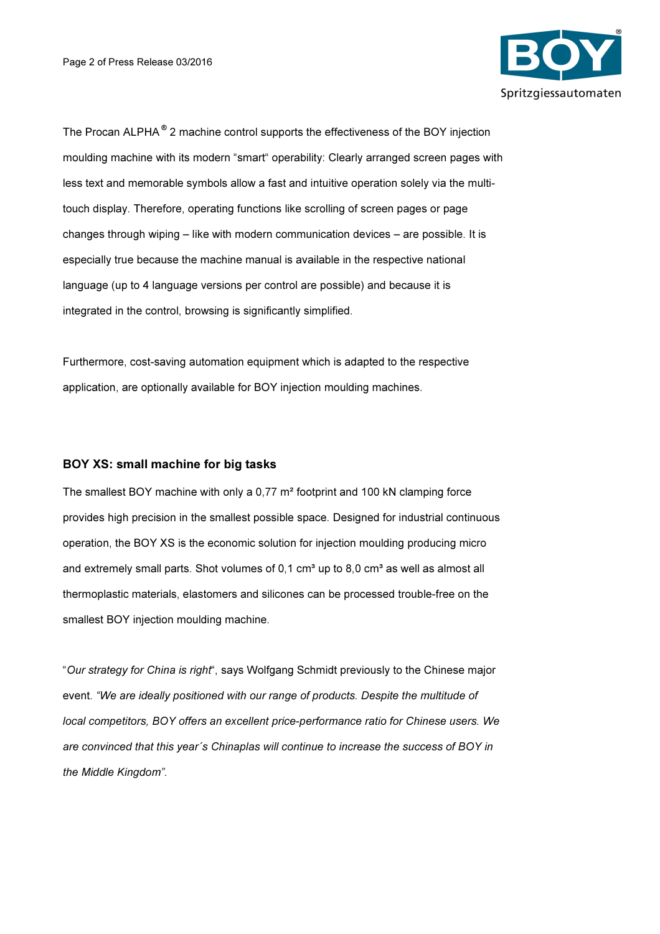

The Procan ALPHA<sup>®</sup> 2 machine control supports the effectiveness of the BOY injection moulding machine with its modern "smart" operability: Clearly arranged screen pages with less text and memorable symbols allow a fast and intuitive operation solely via the multitouch display. Therefore, operating functions like scrolling of screen pages or page changes through wiping – like with modern communication devices – are possible. It is especially true because the machine manual is available in the respective national language (up to 4 language versions per control are possible) and because it is integrated in the control, browsing is significantly simplified.

Furthermore, cost-saving automation equipment which is adapted to the respective application, are optionally available for BOY injection moulding machines.

## BOY XS: small machine for big tasks

The smallest BOY machine with only a 0,77 m² footprint and 100 kN clamping force provides high precision in the smallest possible space. Designed for industrial continuous operation, the BOY XS is the economic solution for injection moulding producing micro and extremely small parts. Shot volumes of  $0.1 \text{ cm}^3$  up to  $8.0 \text{ cm}^3$  as well as almost all thermoplastic materials, elastomers and silicones can be processed trouble-free on the smallest BOY injection moulding machine.

"Our strategy for China is right", says Wolfgang Schmidt previously to the Chinese major event. "We are ideally positioned with our range of products. Despite the multitude of local competitors, BOY offers an excellent price-performance ratio for Chinese users. We are convinced that this year´s Chinaplas will continue to increase the success of BOY in the Middle Kingdom".